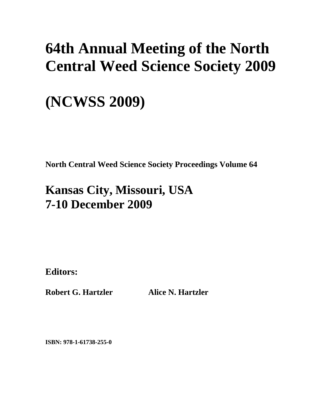# **64th Annual Meeting of the North Central Weed Science Society 2009**

# **(NCWSS 2009)**

**North Central Weed Science Society Proceedings Volume 64** 

# **Kansas City, Missouri, USA 7-10 December 2009**

**Editors:** 

**Robert G. Hartzler Alice N. Hartzler** 

**ISBN: 978-1-61738-255-0**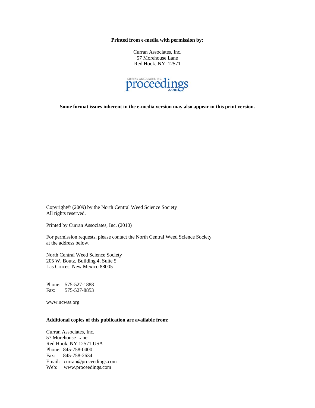**Printed from e-media with permission by:** 

Curran Associates, Inc. 57 Morehouse Lane Red Hook, NY 12571



**Some format issues inherent in the e-media version may also appear in this print version.** 

Copyright© (2009) by the North Central Weed Science Society All rights reserved.

Printed by Curran Associates, Inc. (2010)

For permission requests, please contact the North Central Weed Science Society at the address below.

North Central Weed Science Society 205 W. Boutz, Building 4, Suite 5 Las Cruces, New Mexico 88005

Phone: 575-527-1888 Fax: 575-527-8853

www.ncwss.org

#### **Additional copies of this publication are available from:**

Curran Associates, Inc. 57 Morehouse Lane Red Hook, NY 12571 USA Phone: 845-758-0400 Fax: 845-758-2634 Email: curran@proceedings.com Web: www.proceedings.com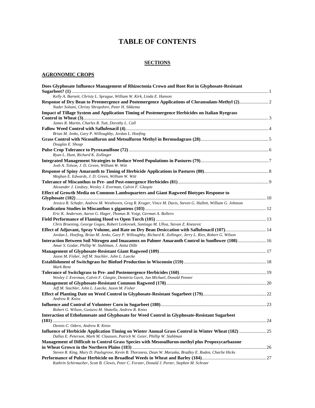# **TABLE OF CONTENTS**

#### **SECTIONS**

#### **AGRONOMIC CROPS**

| Does Glyphosate Influence Management of Rhizoctonia Crown and Root Rot in Glyphosate-Resistant                 |  |
|----------------------------------------------------------------------------------------------------------------|--|
| Kelly A. Barnett, Christy L. Sprague, William W. Kirk, Linda E. Hanson                                         |  |
| Response of Dry Bean to Preemergence and Postemergence Applications of Cloransulam-Methyl (2) 2                |  |
| Nader Soltani, Christy Shropshire, Peter H. Sikkema                                                            |  |
| <b>Impact of Tillage System and Application Timing of Postemergence Herbicides on Italian Ryegrass</b>         |  |
|                                                                                                                |  |
| James R. Martin, Charles R. Tutt, Dorothy L. Call                                                              |  |
|                                                                                                                |  |
| Brian M. Jenks, Gary P. Willoughby, Jordan L. Hoefing                                                          |  |
|                                                                                                                |  |
| Douglas E. Shoup                                                                                               |  |
|                                                                                                                |  |
| Ryan L. Hunt, Richard K. Zollinger                                                                             |  |
| Josh A. Tolson, J. D. Green, William W. Witt                                                                   |  |
|                                                                                                                |  |
| Meghan E. Edwards, J. D. Green, William W. Witt                                                                |  |
|                                                                                                                |  |
| Alexander J. Lindsey, Wesley J. Everman, Calvin F. Glaspie                                                     |  |
| Effect of Growth Media on Common Lambsquarters and Giant Ragweed Biotypes Response to                          |  |
|                                                                                                                |  |
| Jessica R. Schafer, Andrew M. Westhoven, Greg R. Kruger, Vince M. Davis, Steven G. Hallett, William G. Johnson |  |
|                                                                                                                |  |
| Eric K. Anderson, Aaron G. Hager, Thomas B. Voigt, German A. Bollero                                           |  |
| Chris Bruening, George Gogos, Robert Leskovsek, Santiago M. Ulloa, Stevan Z. Knezevic                          |  |
| Effect of Adjuvant, Spray Volume, and Rate on Dry Bean Desiccation with Saflufenacil (107) 14                  |  |
| Jordan L. Hoefing, Brian M. Jenks, Gary P. Willoughby, Richard K. Zollinger, Jerry L. Ries, Robert G. Wilson   |  |
| Interaction Between Soil Nitrogen and Imazamox on Palmer Amaranth Control in Sunflower (108)  16               |  |
| Amar S. Godar, Phillip W. Stahlman, J. Anita Dille                                                             |  |
|                                                                                                                |  |
| Jason M. Fisher, Jeff M. Stachler, John L. Luecke                                                              |  |
|                                                                                                                |  |
| Mark Renz                                                                                                      |  |
|                                                                                                                |  |
| Wesley J. Everman, Calvin F. Glaspie, Demitria Gavit, Jan Michael, Donald Penner                               |  |
|                                                                                                                |  |
| Jeff M. Stachler, John L. Luecke, Jason M. Fisher                                                              |  |
|                                                                                                                |  |
| Andrew R. Kniss                                                                                                |  |
| Robert G. Wilson, Gustavo M. Sbatella, Andrew R. Kniss                                                         |  |
| Interaction of Ethofumesate and Glyphosate for Weed Control in Glyphosate-Resistant Sugarbeet                  |  |
|                                                                                                                |  |
| Dennis C. Odero, Andrew R. Kniss                                                                               |  |
| Influence of Herbicide Application Timing on Winter Annual Grass Control in Winter Wheat (182)  25             |  |
| Dallas E. Peterson, Mark M. Claassen, Patrick W. Geier, Phillip W. Stahlman                                    |  |
| Management of Difficult to Control Grass Species with Mesosulfuron-methyl plus Propoxycarbazone                |  |
|                                                                                                                |  |
| Steven R. King, Mary D. Paulsgrove, Kevin B. Thorsness, Dean W. Maruska, Bradley E. Ruden, Charlie Hicks       |  |
|                                                                                                                |  |
| Kathrin Schirmacher, Scott B. Clewis, Peter C. Forster, Donald J. Porter, Stephen M. Schraer                   |  |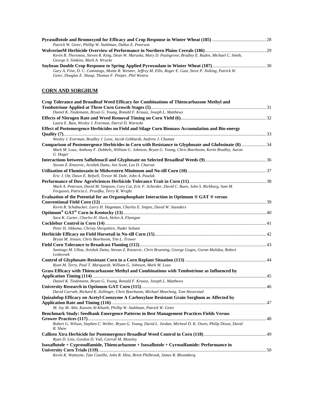| Patrick W. Geier, Phillip W. Stahlman, Dallas E. Peterson                                                    |  |
|--------------------------------------------------------------------------------------------------------------|--|
|                                                                                                              |  |
| Kevin B. Thorsness, Steven R. King, Dean W. Maruska, Mary D. Paulsgrove, Bradley E. Ruden, Michael C. Smith, |  |
| George S. Simkins, Mark A. Wrucke                                                                            |  |
|                                                                                                              |  |
| Gary A. Finn, D. C. Cummings, Monte R. Weimer, Jeffrey M. Ellis, Roger E. Gast, Steve P. Nolting, Patrick W. |  |

### **CORN AND SORGHUM**

*Geier, Douglas E. Shoup, Thomas F. Peeper, Phil Westra* 

| Crop Tolerance and Broadleaf Weed Efficacy for Combinations of Thiencarbazone Methyl and                                 |  |
|--------------------------------------------------------------------------------------------------------------------------|--|
|                                                                                                                          |  |
| Daniel K. Tiedemann, Bryan G. Young, Ronald F. Krausz, Joseph L. Matthews                                                |  |
| Laura E. Bast, Wesley J. Everman, Darryl D. Warncke                                                                      |  |
| Effect of Postemergence Herbicides on Field and Silage Corn Biomass Accumulation and Bio-energy                          |  |
|                                                                                                                          |  |
| Wesley J. Everman, Bradley J. Love, Jacob Gebhardt, Andrew J. Chomas                                                     |  |
| Comparison of Postemergence Herbicides in Corn with Resistance to Glyphosate and Glufosinate (8)  34                     |  |
| Mark M. Loux, Anthony F. Dobbels, William G. Johnson, Bryan G. Young, Chris Boerboom, Kevin Bradley, Aaron<br>G. Hager   |  |
|                                                                                                                          |  |
| Stevan Z. Knezevic, Avishek Datta, Jon Scott, Leo D. Charvat                                                             |  |
|                                                                                                                          |  |
| Eric J. Ott, Dawn E. Refsell, Trevor M. Dale, John A. Pawlak                                                             |  |
| Mark A. Peterson, David M. Simpson, Cory Cui, Eric F. Scherder, David C. Ruen, John S. Richburg, Sam M.                  |  |
| Ferguson, Patricia L. Prasifka, Terry R. Wright                                                                          |  |
| Evaluation of the Potential for an Organophosphate Interaction in Optimum ® GAT ® versus                                 |  |
|                                                                                                                          |  |
| Kevin R. Schabacker, Larry H. Hageman, Charles E. Snipes, David W. Saunders                                              |  |
|                                                                                                                          |  |
| Sara K. Carter, Charles H. Slack, Helen A. Flanigan                                                                      |  |
|                                                                                                                          |  |
| Peter H. Sikkema, Christy Shropshire, Nader Soltani                                                                      |  |
|                                                                                                                          |  |
| Bryan M. Jensen, Chris Boerboom, Tim L. Trower                                                                           |  |
| Santiago M. Ulloa, Avishek Datta, Stevan Z. Knezevic, Chris Bruening, George Gogos, Goran Malidza, Robert                |  |
| Leskovsek                                                                                                                |  |
|                                                                                                                          |  |
| Ryan M. Terry, Paul T. Marquardt, William G. Johnson, Mark M. Loux                                                       |  |
| Grass Efficacy with Thiencarbazone Methyl and Combinations with Tembotrione as Influenced by                             |  |
|                                                                                                                          |  |
| Daniel K. Tiedemann, Bryan G. Young, Ronald F. Krausz, Joseph L. Matthews                                                |  |
|                                                                                                                          |  |
| David Carruth, Richard K. Zollinger, Chris Boerboom, Michael Moechnig, Tom Hoverstad                                     |  |
| Quizalofop Efficacy on Acetyl-Coenzyme A Carboxylase Resistant Grain Sorghum as Affected by                              |  |
| M. Joy M. Abit, Kassim Al-Khatib, Phillip W. Stahlman, Patrick W. Geier                                                  |  |
| Benchmark Study: Seedbank Emergence Patterns in Best Management Practices Fields Versus                                  |  |
|                                                                                                                          |  |
| Robert G. Wilson, Stephen C. Weller, Bryan G. Young, David L. Jordan, Micheal D. K. Owen, Philip Dixon, David<br>R. Shaw |  |
|                                                                                                                          |  |
| Ryan D. Lins, Gordon D. Vail, Carroll M. Moseley                                                                         |  |
| Isoxaflutole + Cyprosulfamide, Thiencarbazone + Isoxaflutole + Cyrosulfamide: Performance in                             |  |
|                                                                                                                          |  |

*Kevin K. Watteyne, Tate Castillo, John R. Hinz, Brent Philbrook, James R. Bloomberg*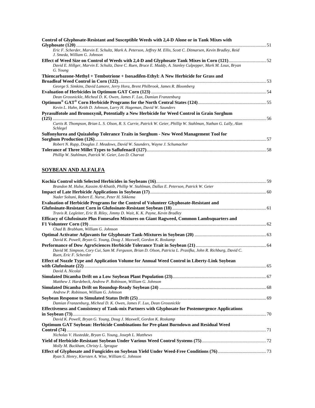| Control of Glyphosate-Resistant and Susceptible Weeds with 2,4-D Alone or in Tank Mixes with                                                     |  |
|--------------------------------------------------------------------------------------------------------------------------------------------------|--|
| Eric F. Scherder, Marvin E. Schultz, Mark A. Peterson, Jeffrey M. Ellis, Scott C. Ditmarsen, Kevin Bradley, Reid<br>J. Smeda, William G. Johnson |  |
| David E. Hillger, Marvin E. Schultz, Dave C. Ruen, Bruce E. Maddy, A. Stanley Culpepper, Mark M. Loux, Bryan                                     |  |
| G. Young<br>Thiencarbazone-Methyl + Tembotrione + Isoxadifen-Ethyl: A New Herbicide for Grass and                                                |  |
|                                                                                                                                                  |  |
| George S. Simkins, David Lamore, Jerry Hora, Brent Philbrook, James R. Bloomberg                                                                 |  |
|                                                                                                                                                  |  |
| Dean Grossnickle, Micheal D. K. Owen, James F. Lux, Damian Franzenburg                                                                           |  |
| Kevin L. Hahn, Keith D. Johnson, Larry H. Hageman, David W. Saunders                                                                             |  |
| <b>Pyrasulfotole and Bromoxynil, Potentially a New Herbicide for Weed Control in Grain Sorghum</b>                                               |  |
|                                                                                                                                                  |  |
| Curtis R. Thompson, Brian L. S. Olson, R. S. Currie, Patrick W. Geier, Phillip W. Stahlman, Nathan G. Lally, Alan<br>Schlegel                    |  |
| Sulfonylurea and Quizalofop Tolerance Traits in Sorghum - New Weed Management Tool for                                                           |  |
|                                                                                                                                                  |  |
| Robert N. Rupp, Douglas J. Meadows, David W. Saunders, Wayne J. Schumacher                                                                       |  |
| Phillip W. Stahlman, Patrick W. Geier, Leo D. Charvat                                                                                            |  |

# **SOYBEAN AND ALFALFA**

| Brandon M. Hulse, Kassim Al-Khatib, Phillip W. Stahlman, Dallas E. Peterson, Patrick W. Geier                                           |  |
|-----------------------------------------------------------------------------------------------------------------------------------------|--|
| Nader Soltani, Robert E. Nurse, Peter H. Sikkema                                                                                        |  |
| Evaluation of Herbicide Programs for the Control of Volunteer Glyphosate-Resistant and                                                  |  |
|                                                                                                                                         |  |
| Travis R. Legleiter, Eric B. Riley, Jimmy D. Wait, K. K. Payne, Kevin Bradley                                                           |  |
| Efficacy of Glufosinate Plus Fomesafen Mixtures on Giant Ragweed, Common Lambsquarters and                                              |  |
|                                                                                                                                         |  |
| Chad B. Brabham, William G. Johnson                                                                                                     |  |
|                                                                                                                                         |  |
| David K. Powell, Bryan G. Young, Doug J. Maxwell, Gordon K. Roskamp                                                                     |  |
|                                                                                                                                         |  |
| David M. Simpson, Cory Cui, Sam M. Ferguson, Brian D. Olson, Patricia L. Prasifka, John R. Richburg, David C.<br>Ruen, Eric F. Scherder |  |
| Effect of Nozzle Type and Application Volume for Annual Weed Control in Liberty-Link Soybean                                            |  |
|                                                                                                                                         |  |
| David A. Nicolai                                                                                                                        |  |
|                                                                                                                                         |  |
| Matthew J. Hardebeck, Andrew P. Robinson, William G. Johnson                                                                            |  |
|                                                                                                                                         |  |
| Andrew P. Robinson, William G. Johnson                                                                                                  |  |
|                                                                                                                                         |  |
| Damian Franzenburg, Micheal D. K. Owen, James F. Lux, Dean Grossnickle                                                                  |  |
| Effectiveness and Consistency of Tank-mix Partners with Glyphosate for Postemergence Applications                                       |  |
|                                                                                                                                         |  |
| David K. Powell, Bryan G. Young, Doug J. Maxwell, Gordon K. Roskamp                                                                     |  |
| <b>Optimum GAT Soybean: Herbicide Combinations for Pre-plant Burndown and Residual Weed</b>                                             |  |
|                                                                                                                                         |  |
| Nicholas V. Hustedde, Bryan G. Young, Joseph L. Matthews                                                                                |  |
| Molly M. Buckham, Christy L. Sprague                                                                                                    |  |
| Ryan S. Henry, Kiersten A. Wise, William G. Johnson                                                                                     |  |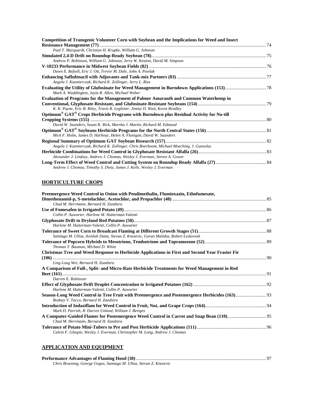| Competition of Transgenic Volunteer Corn with Soybean and the Implications for Weed and Insect |  |
|------------------------------------------------------------------------------------------------|--|
|                                                                                                |  |
| Paul T. Marquardt, Christian H. Krupke, William G. Johnson                                     |  |
|                                                                                                |  |
| Andrew P. Robinson, William G. Johnson, Jerry W. Keaton, David M. Simpson                      |  |
|                                                                                                |  |
| Dawn E. Refsell, Eric J. Ott, Trevor M. Dale, John A. Pawlak                                   |  |
|                                                                                                |  |
| Angela J. Kazmierczak, Richard K. Zollinger, Jerry L. Ries                                     |  |
|                                                                                                |  |
| Mark A. Waddington, Jayla R. Allen, Michael Weber                                              |  |
| Evaluation of Programs for the Management of Palmer Amaranth and Common Waterhemp in           |  |
| K. K. Payne, Eric B. Riley, Travis R. Legleiter, Jimmy D. Wait, Kevin Bradley                  |  |
| Optimum® GAT® Crops Herbicide Programs with Burndown plus Residual Activity for No-till        |  |
|                                                                                                |  |
| David W. Saunders, Susan K. Rick, Marsha J. Martin, Richard M. Edmund                          |  |
|                                                                                                |  |
| Mick F. Holm, James D. Harbour, Helen A. Flanigan, David W. Saunders                           |  |
|                                                                                                |  |
| Angela J. Kazmierczak, Richard K. Zollinger, Chris Boerboom, Michael Moechnig, J. Gunsolus     |  |
|                                                                                                |  |
| Alexander J. Lindsey, Andrew J. Chomas, Wesley J. Everman, Steven A. Gower                     |  |
|                                                                                                |  |
| Andrew J. Chomas, Timothy S. Dietz, James J. Kells, Wesley J. Everman                          |  |

### **HORTICULTURE CROPS**

| Preemergence Weed Control in Onion with Pendimethalin, Flumioxazin, Ethofumesate,                                                      |  |
|----------------------------------------------------------------------------------------------------------------------------------------|--|
|                                                                                                                                        |  |
| Chad M. Herrmann, Bernard H. Zandstra                                                                                                  |  |
|                                                                                                                                        |  |
| Collin P. Auwarter, Harlene M. Hatterman-Valenti                                                                                       |  |
|                                                                                                                                        |  |
| Harlene M. Hatterman-Valenti, Collin P. Auwarter                                                                                       |  |
| Santiago M. Ulloa, Avishek Datta, Stevan Z. Knezevic, Goran Malidza, Robert Leskovsek                                                  |  |
|                                                                                                                                        |  |
| Thomas T. Bauman, Michael D. White                                                                                                     |  |
| Christmas Tree and Weed Response to Herbicide Applications in First and Second Year Frasier Fir                                        |  |
| Ling Long Wei, Bernard H. Zandstra                                                                                                     |  |
| A Comparison of Full-, Split- and Micro-Rate Herbicide Treatments for Weed Management in Red                                           |  |
|                                                                                                                                        |  |
| Darren E. Robinson                                                                                                                     |  |
|                                                                                                                                        |  |
| Harlene M. Hatterman-Valenti, Collin P. Auwarter                                                                                       |  |
| Season-Long Weed Control in Tree Fruit with Preemergence and Postemergence Herbicides (163) 93<br>Rodney V. Tocco, Bernard H. Zandstra |  |
| Mark D. Parrish, R. Darren Unland, William J. Bertges                                                                                  |  |
| Chad M. Herrmann, Bernard H. Zandstra                                                                                                  |  |
| Calvin F. Glaspie, Wesley J. Everman, Christopher M. Long, Andrew J. Chomas                                                            |  |

### **APPLICATION AND EQUIPMENT**

| Chris Bruening, George Gogos, Santiago M. Ulloa, Stevan Z. Knezevic |  |
|---------------------------------------------------------------------|--|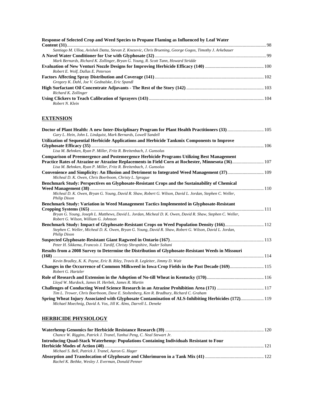| Response of Selected Crop and Weed Species to Propane Flaming as Influenced by Leaf Water                |  |
|----------------------------------------------------------------------------------------------------------|--|
|                                                                                                          |  |
| Santiago M. Ulloa, Avishek Datta, Stevan Z. Knezevic, Chris Bruening, George Gogos, Timothy J. Arkebauer |  |
|                                                                                                          |  |
| Mark Bernards, Richard K. Zollinger, Bryan G. Young, R. Scott Tann, Howard Stridde                       |  |
|                                                                                                          |  |
| Robert E. Wolf, Dallas E. Peterson                                                                       |  |
|                                                                                                          |  |
| Gregory K. Dahl, Joe V. Gednalske, Eric Spandl                                                           |  |
|                                                                                                          |  |
| Richard K. Zollinger                                                                                     |  |
|                                                                                                          |  |
| Robert N. Klein                                                                                          |  |

### **EXTENSION**

| Doctor of Plant Health: A new Inter-Disciplinary Program for Plant Health Practitioners (33)  105<br>Gary L. Hein, John L. Lindquist, Mark Bernards, Lowell Sandell      |  |
|--------------------------------------------------------------------------------------------------------------------------------------------------------------------------|--|
|                                                                                                                                                                          |  |
| Utilization of Sequential Herbicide Applications and Herbicide Tankmix Components to Improve                                                                             |  |
| Lisa M. Behnken, Ryan P. Miller, Fritz R. Breitenbach, J. Gunsolus                                                                                                       |  |
| <b>Comparison of Preemergence and Postemergence Herbicide Programs Utilizing Best Management</b>                                                                         |  |
| Practice Rates of Atrazine or Atrazine Replacements in Field Corn at Rochester, Minnesota (36) 107<br>Lisa M. Behnken, Ryan P. Miller, Fritz R. Breitenbach, J. Gunsolus |  |
| Convenience and Simplicity: An Illusion and Detriment to Integrated Weed Management (37) 109<br>Micheal D. K. Owen, Chris Boerboom, Christy L. Sprague                   |  |
| Benchmark Study: Perspectives on Glyphosate-Resistant Crops and the Sustainability of Chemical                                                                           |  |
|                                                                                                                                                                          |  |
| Micheal D. K. Owen, Bryan G. Young, David R. Shaw, Robert G. Wilson, David L. Jordan, Stephen C. Weller,<br><b>Philip Dixon</b>                                          |  |
| Benchmark Study: Variation in Weed Management Tactics Implemented in Glyphosate-Resistant                                                                                |  |
| Bryan G. Young, Joseph L. Matthews, David L. Jordan, Micheal D. K. Owen, David R. Shaw, Stephen C. Weller,<br>Robert G. Wilson, William G. Johnson                       |  |
| Benchmark Study: Impact of Glyphosate-Resistant Crops on Weed Population Density (166) 112                                                                               |  |
| Stephen C. Weller, Micheal D. K. Owen, Bryan G. Young, David R. Shaw, Robert G. Wilson, David L. Jordan,<br><b>Philip Dixon</b>                                          |  |
|                                                                                                                                                                          |  |
| Peter H. Sikkema, Francois J. Tardif, Christy Shropshire, Nader Soltani                                                                                                  |  |
| Results from a 2008 Survey to Determine the Distribution of Glyphosate-Resistant Weeds in Missouri                                                                       |  |
| Kevin Bradley, K. K. Payne, Eric B. Riley, Travis R. Legleiter, Jimmy D. Wait                                                                                            |  |
| Changes in the Occurrence of Common Milkweed in Iowa Crop Fields in the Past Decade (169) 115<br>Robert G. Hartzler                                                      |  |
|                                                                                                                                                                          |  |
| Lloyd W. Murdock, James H. Herbek, James R. Martin                                                                                                                       |  |
|                                                                                                                                                                          |  |
| Tim L. Trower, Chris Boerboom, Dave E. Stoltenberg, Ken R. Bradbury, Richard C. Graham                                                                                   |  |
| Spring Wheat Injury Associated with Glyphosate Contamination of ALS-Inhibiting Herbicides (172) 19<br>Michael Moechnig, David A. Vos, Jill K. Alms, Darrell L. Deneke    |  |

# **HERBICIDE PHYSIOLOGY**

| Chance W. Riggins, Patrick J. Tranel, Yanhui Peng, C. Neal Stewart Jr.                 |  |
|----------------------------------------------------------------------------------------|--|
| Introducing Ouad-Stack Waterhemp: Populations Containing Individuals Resistant to Four |  |
|                                                                                        |  |
| Michael S. Bell, Patrick J. Tranel, Aaron G. Hager                                     |  |
|                                                                                        |  |
| Rachel K. Bethke, Wesley J. Everman, Donald Penner                                     |  |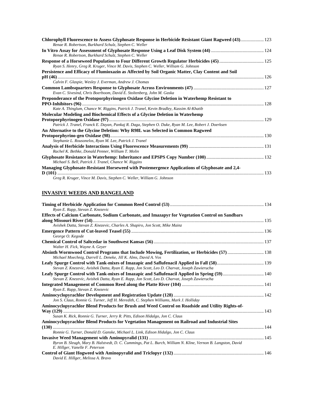| Chlorophyll Fluorescence to Assess Glyphosate Response in Herbicide Resistant Giant Ragweed (43) 123<br>Renae R. Robertson, Burkhard Schulz, Stephen C. Weller |  |
|----------------------------------------------------------------------------------------------------------------------------------------------------------------|--|
|                                                                                                                                                                |  |
| Renae R. Robertson, Burkhard Schulz, Stephen C. Weller                                                                                                         |  |
| Ryan S. Henry, Greg R. Kruger, Vince M. Davis, Stephen C. Weller, William G. Johnson                                                                           |  |
| Persistence and Efficacy of Flumioxazin as Affected by Soil Organic Matter, Clay Content and Soil                                                              |  |
|                                                                                                                                                                |  |
| Calvin F. Glaspie, Wesley J. Everman, Andrew J. Chomas                                                                                                         |  |
| Evan C. Sivesind, Chris Boerboom, David E. Stoltenberg, John M. Gaska                                                                                          |  |
| Preponderance of the Protoporphyrinogen Oxidase Glycine Deletion in Waterhemp Resistant to                                                                     |  |
|                                                                                                                                                                |  |
| Kate A. Thinglum, Chance W. Riggins, Patrick J. Tranel, Kevin Bradley, Kassim Al-Khatib                                                                        |  |
| <b>Molecular Modeling and Biochemical Effects of a Glycine Deletion in Waterhemp</b>                                                                           |  |
|                                                                                                                                                                |  |
| Patrick J. Tranel, Franck E. Dayan, Pankaj R. Daga, Stephen O. Duke, Ryan M. Lee, Robert J. Doerksen                                                           |  |
| An Alternative to the Glycine Deletion: Why R98L was Selected in Common Ragweed                                                                                |  |
|                                                                                                                                                                |  |
| Stephanie L. Rousonelos, Ryan M. Lee, Patrick J. Tranel                                                                                                        |  |
|                                                                                                                                                                |  |
| Rachel K. Bethke, Donald Penner, William T. Molin                                                                                                              |  |
|                                                                                                                                                                |  |
| Michael S. Bell, Patrick J. Tranel, Chance W. Riggins                                                                                                          |  |
| Managing Glyphosate-Resistant Horseweed with Postemergence Applications of Glyphosate and 2,4-                                                                 |  |
|                                                                                                                                                                |  |
| Greg R. Kruger, Vince M. Davis, Stephen C. Weller, William G. Johnson                                                                                          |  |

### **INVASIVE WEEDS AND RANGELAND**

| Ryan E. Rapp, Stevan Z. Knezevic                                                                              |  |
|---------------------------------------------------------------------------------------------------------------|--|
| Effects of Calcium Carbonate, Sodium Carbonate, and Imazapyr for Vegetation Control on Sandbars               |  |
|                                                                                                               |  |
| Avishek Datta, Stevan Z. Knezevic, Charles A. Shapiro, Jon Scott, Mike Mainz                                  |  |
|                                                                                                               |  |
| George O. Kegode                                                                                              |  |
|                                                                                                               |  |
| Walter H. Fick, Wayne A. Geyer                                                                                |  |
| Michael Moechnig, Darrell L. Deneke, Jill K. Alms, David A. Vos                                               |  |
|                                                                                                               |  |
| Stevan Z. Knezevic, Avishek Datta, Ryan E. Rapp, Jon Scott, Leo D. Charvat, Joseph Zawierucha                 |  |
| Leafy Spurge Control with Tank-mixes of Imazapic and Saflufenacil Applied in Spring (59) 140                  |  |
| Stevan Z. Knezevic, Avishek Datta, Ryan E. Rapp, Jon Scott, Leo D. Charvat, Joseph Zawierucha                 |  |
|                                                                                                               |  |
| Ryan E. Rapp, Stevan Z. Knezevic                                                                              |  |
|                                                                                                               |  |
| Jon S. Claus, Ronnie G. Turner, Jeff H. Meredith, C. Stephen Williams, Mark J. Holliday                       |  |
| Aminocyclopyrachlor Blend Products for Brush and Weed Control on Roadside and Utility Rights-of-              |  |
|                                                                                                               |  |
| Susan K. Rick, Ronnie G. Turner, Jerry R. Pitts, Edison Hidalgo, Jon C. Claus                                 |  |
| Aminocyclopyrachlor Blend Products for Vegetation Management on Railroad and Industrial Sites                 |  |
|                                                                                                               |  |
| Ronnie G. Turner, Donald D. Ganske, Michael L. Link, Edison Hidalgo, Jon C. Claus                             |  |
|                                                                                                               |  |
| Byron B. Sleugh, Mary B. Halstvedt, D. C. Cummings, Pat L. Burch, William N. Kline, Vernon B. Langston, David |  |
| E. Hillger, Vanelle F. Peterson                                                                               |  |
|                                                                                                               |  |
| David E. Hillger, Melissa A. Bravo                                                                            |  |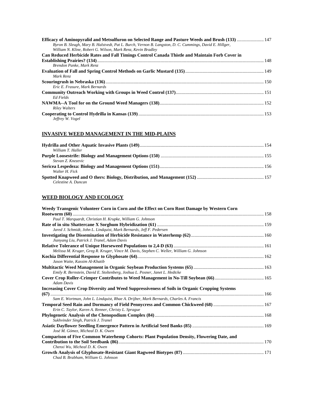| Efficacy of Aminopyralid and Metsulfuron on Selected Range and Pasture Weeds and Brush (133)  147<br>Byron B. Sleugh, Mary B. Halstvedt, Pat L. Burch, Vernon B. Langston, D. C. Cummings, David E. Hillger,<br>William N. Kline, Robert G. Wilson, Mark Renz, Kevin Bradley |  |
|------------------------------------------------------------------------------------------------------------------------------------------------------------------------------------------------------------------------------------------------------------------------------|--|
| Can Reduced Herbicide Rates and Fall Timings Control Canada Thistle and Maintain Forb Cover in                                                                                                                                                                               |  |
|                                                                                                                                                                                                                                                                              |  |
| Brendon Panke, Mark Renz.                                                                                                                                                                                                                                                    |  |
|                                                                                                                                                                                                                                                                              |  |
| Mark Renz                                                                                                                                                                                                                                                                    |  |
|                                                                                                                                                                                                                                                                              |  |
| Eric E. Frasure, Mark Bernards                                                                                                                                                                                                                                               |  |
|                                                                                                                                                                                                                                                                              |  |
| Ed Fields                                                                                                                                                                                                                                                                    |  |
|                                                                                                                                                                                                                                                                              |  |
| <b>Riley Walters</b>                                                                                                                                                                                                                                                         |  |
| Jeffrey W. Vogel                                                                                                                                                                                                                                                             |  |

### **INVASIVE WEED MANAGEMENT IN THE MID-PLAINS**

| William T. Haller   |  |
|---------------------|--|
|                     |  |
| Stevan Z. Knezevic  |  |
|                     |  |
| Walter H. Fick      |  |
|                     |  |
| Celestine A. Duncan |  |

### **WEED BIOLOGY AND ECOLOGY**

| Weedy Transgenic Volunteer Corn in Corn and the Effect on Corn Root Damage by Western Corn        |  |
|---------------------------------------------------------------------------------------------------|--|
|                                                                                                   |  |
| Paul T. Marquardt, Christian H. Krupke, William G. Johnson                                        |  |
|                                                                                                   |  |
| Jared J. Schmidt, John L. Lindquist, Mark Bernards, Jeff F. Pedersen                              |  |
| Jianyang Liu, Patrick J. Tranel, Adam Davis                                                       |  |
|                                                                                                   |  |
| Melissa M. Kruger, Greg R. Kruger, Vince M. Davis, Stephen C. Weller, William G. Johnson          |  |
|                                                                                                   |  |
| Jason Waite, Kassim Al-Khatib                                                                     |  |
| Emily R. Bernstein, David E. Stoltenberg, Joshua L. Posner, Janet L. Hedtcke                      |  |
| <b>Adam Davis</b>                                                                                 |  |
| Increasing Cover Crop Diversity and Weed Suppressiveness of Soils in Organic Cropping Systems     |  |
|                                                                                                   |  |
| Sam E. Wortman, John L. Lindquist, Rhae A. Drijber, Mark Bernards, Charles A. Francis             |  |
|                                                                                                   |  |
| Erin C. Taylor, Karen A. Renner, Christy L. Sprague                                               |  |
| Sukhvinder Singh, Patrick J. Tranel                                                               |  |
| José M. Gómez, Micheal D. K. Owen                                                                 |  |
| <b>Comparison of Five Common Waterhemp Cohorts: Plant Population Density, Flowering Date, and</b> |  |
|                                                                                                   |  |
| Chenxi Wu, Micheal D. K. Owen                                                                     |  |
| Chad B. Brabham, William G. Johnson                                                               |  |